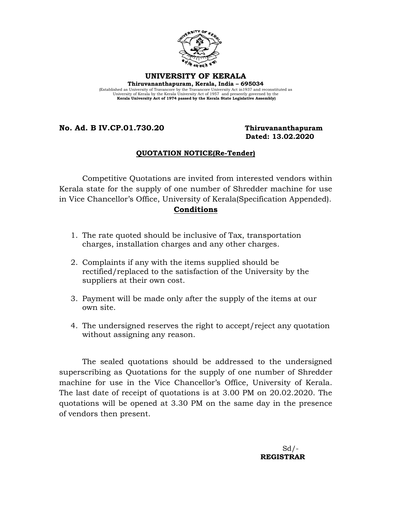

#### **UNIVERSITY OF KERALA**

**Thiruvananthapuram, Kerala, India – 695034**  (Established as University of Travancore by the Travancore University Act in1937 and reconstituted as University of Kerala by the Kerala University Act of 1957 and presently governed by the **Kerala University Act of 1974 passed by the Kerala State Legislative Assembly)**

### **No. Ad. B IV.CP.01.730.20 Thiruvananthapuram**

# **Dated: 13.02.2020**

### **QUOTATION NOTICE(Re-Tender)**

Competitive Quotations are invited from interested vendors within Kerala state for the supply of one number of Shredder machine for use in Vice Chancellor's Office, University of Kerala(Specification Appended).

#### **Conditions**

- 1. The rate quoted should be inclusive of Tax, transportation charges, installation charges and any other charges.
- 2. Complaints if any with the items supplied should be rectified/replaced to the satisfaction of the University by the suppliers at their own cost.
- 3. Payment will be made only after the supply of the items at our own site.
- 4. The undersigned reserves the right to accept/reject any quotation without assigning any reason.

The sealed quotations should be addressed to the undersigned superscribing as Quotations for the supply of one number of Shredder machine for use in the Vice Chancellor's Office, University of Kerala. The last date of receipt of quotations is at 3.00 PM on 20.02.2020. The quotations will be opened at 3.30 PM on the same day in the presence of vendors then present.